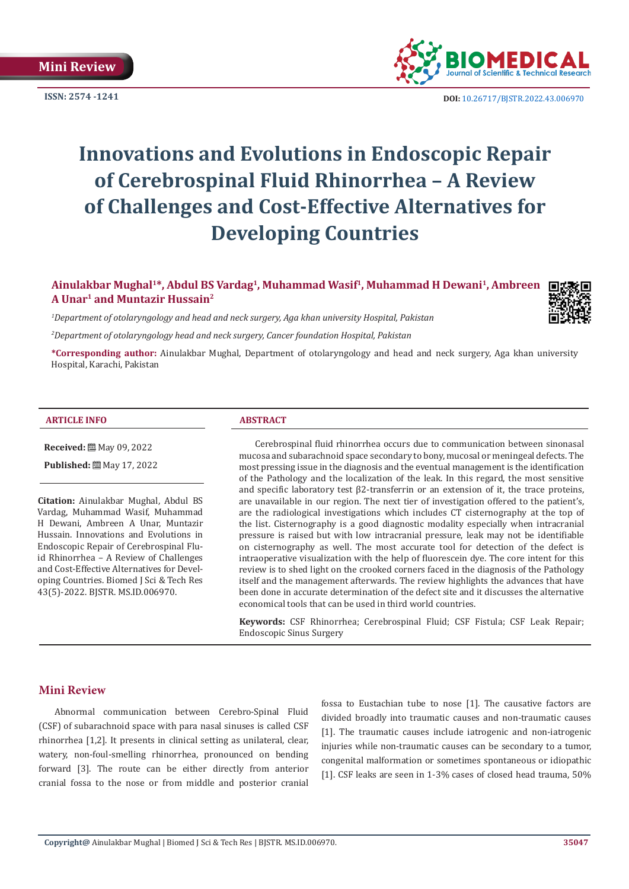

**ISSN: 2574 -1241 DOI:** [10.26717/BJSTR.2022.43.006970](https://dx.doi.org/10.26717/BJSTR.2022.43.006970)

# **Innovations and Evolutions in Endoscopic Repair of Cerebrospinal Fluid Rhinorrhea – A Review of Challenges and Cost-Effective Alternatives for Developing Countries**

# **Ainulakbar Mughal1\*, Abdul BS Vardag1, Muhammad Wasif1, Muhammad H Dewani1, Ambreen A Unar1 and Muntazir Hussain2**

*1 Department of otolaryngology and head and neck surgery, Aga khan university Hospital, Pakistan*

*2 Department of otolaryngology head and neck surgery, Cancer foundation Hospital, Pakistan*

**\*Corresponding author:** Ainulakbar Mughal, Department of otolaryngology and head and neck surgery, Aga khan university Hospital, Karachi, Pakistan

#### **ARTICLE INFO ABSTRACT**

**Received:** 圖 May 09, 2022

**Published:** 圖 May 17, 2022

**Citation:** Ainulakbar Mughal, Abdul BS Vardag, Muhammad Wasif, Muhammad H Dewani, Ambreen A Unar, Muntazir Hussain. Innovations and Evolutions in Endoscopic Repair of Cerebrospinal Fluid Rhinorrhea – A Review of Challenges and Cost-Effective Alternatives for Developing Countries. Biomed J Sci & Tech Res 43(5)-2022. BJSTR. MS.ID.006970.

Cerebrospinal fluid rhinorrhea occurs due to communication between sinonasal mucosa and subarachnoid space secondary to bony, mucosal or meningeal defects. The most pressing issue in the diagnosis and the eventual management is the identification of the Pathology and the localization of the leak. In this regard, the most sensitive and specific laboratory test  $\beta$ 2-transferrin or an extension of it, the trace proteins, are unavailable in our region. The next tier of investigation offered to the patient's, are the radiological investigations which includes CT cisternography at the top of the list. Cisternography is a good diagnostic modality especially when intracranial pressure is raised but with low intracranial pressure, leak may not be identifiable on cisternography as well. The most accurate tool for detection of the defect is intraoperative visualization with the help of fluorescein dye. The core intent for this review is to shed light on the crooked corners faced in the diagnosis of the Pathology itself and the management afterwards. The review highlights the advances that have been done in accurate determination of the defect site and it discusses the alternative economical tools that can be used in third world countries.

**Keywords:** CSF Rhinorrhea; Cerebrospinal Fluid; CSF Fistula; CSF Leak Repair; Endoscopic Sinus Surgery

### **Mini Review**

Abnormal communication between Cerebro-Spinal Fluid (CSF) of subarachnoid space with para nasal sinuses is called CSF rhinorrhea [1,2]. It presents in clinical setting as unilateral, clear, watery, non-foul-smelling rhinorrhea, pronounced on bending forward [3]. The route can be either directly from anterior cranial fossa to the nose or from middle and posterior cranial

fossa to Eustachian tube to nose [1]. The causative factors are divided broadly into traumatic causes and non-traumatic causes [1]. The traumatic causes include iatrogenic and non-iatrogenic injuries while non-traumatic causes can be secondary to a tumor, congenital malformation or sometimes spontaneous or idiopathic [1]. CSF leaks are seen in 1-3% cases of closed head trauma, 50%

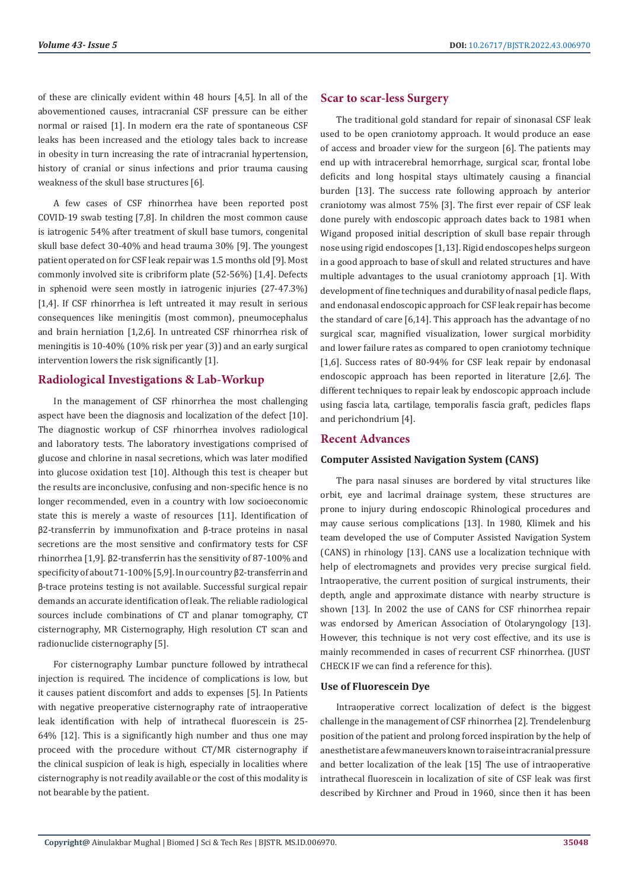of these are clinically evident within 48 hours [4,5]. In all of the abovementioned causes, intracranial CSF pressure can be either normal or raised [1]. In modern era the rate of spontaneous CSF leaks has been increased and the etiology tales back to increase in obesity in turn increasing the rate of intracranial hypertension, history of cranial or sinus infections and prior trauma causing weakness of the skull base structures [6].

A few cases of CSF rhinorrhea have been reported post COVID-19 swab testing [7,8]. In children the most common cause is iatrogenic 54% after treatment of skull base tumors, congenital skull base defect 30-40% and head trauma 30% [9]. The youngest patient operated on for CSF leak repair was 1.5 months old [9]. Most commonly involved site is cribriform plate (52-56%) [1,4]. Defects in sphenoid were seen mostly in iatrogenic injuries (27-47.3%) [1,4]. If CSF rhinorrhea is left untreated it may result in serious consequences like meningitis (most common), pneumocephalus and brain herniation [1,2,6]. In untreated CSF rhinorrhea risk of meningitis is 10-40% (10% risk per year (3)) and an early surgical intervention lowers the risk significantly [1].

# **Radiological Investigations & Lab-Workup**

In the management of CSF rhinorrhea the most challenging aspect have been the diagnosis and localization of the defect [10]. The diagnostic workup of CSF rhinorrhea involves radiological and laboratory tests. The laboratory investigations comprised of glucose and chlorine in nasal secretions, which was later modified into glucose oxidation test [10]. Although this test is cheaper but the results are inconclusive, confusing and non-specific hence is no longer recommended, even in a country with low socioeconomic state this is merely a waste of resources [11]. Identification of β2-transferrin by immunofixation and β-trace proteins in nasal secretions are the most sensitive and confirmatory tests for CSF rhinorrhea [1,9]. β2-transferrin has the sensitivity of 87-100% and specificity of about 71-100% [5,9]. In our country β2-transferrin and β-trace proteins testing is not available. Successful surgical repair demands an accurate identification of leak. The reliable radiological sources include combinations of CT and planar tomography, CT cisternography, MR Cisternography, High resolution CT scan and radionuclide cisternography [5].

For cisternography Lumbar puncture followed by intrathecal injection is required. The incidence of complications is low, but it causes patient discomfort and adds to expenses [5]. In Patients with negative preoperative cisternography rate of intraoperative leak identification with help of intrathecal fluorescein is 25- 64% [12]. This is a significantly high number and thus one may proceed with the procedure without CT/MR cisternography if the clinical suspicion of leak is high, especially in localities where cisternography is not readily available or the cost of this modality is not bearable by the patient.

#### **Scar to scar-less Surgery**

The traditional gold standard for repair of sinonasal CSF leak used to be open craniotomy approach. It would produce an ease of access and broader view for the surgeon [6]. The patients may end up with intracerebral hemorrhage, surgical scar, frontal lobe deficits and long hospital stays ultimately causing a financial burden [13]. The success rate following approach by anterior craniotomy was almost 75% [3]. The first ever repair of CSF leak done purely with endoscopic approach dates back to 1981 when Wigand proposed initial description of skull base repair through nose using rigid endoscopes [1,13]. Rigid endoscopes helps surgeon in a good approach to base of skull and related structures and have multiple advantages to the usual craniotomy approach [1]. With development of fine techniques and durability of nasal pedicle flaps, and endonasal endoscopic approach for CSF leak repair has become the standard of care [6,14]. This approach has the advantage of no surgical scar, magnified visualization, lower surgical morbidity and lower failure rates as compared to open craniotomy technique [1,6]. Success rates of 80-94% for CSF leak repair by endonasal endoscopic approach has been reported in literature [2,6]. The different techniques to repair leak by endoscopic approach include using fascia lata, cartilage, temporalis fascia graft, pedicles flaps and perichondrium [4].

#### **Recent Advances**

#### **Computer Assisted Navigation System (CANS)**

The para nasal sinuses are bordered by vital structures like orbit, eye and lacrimal drainage system, these structures are prone to injury during endoscopic Rhinological procedures and may cause serious complications [13]. In 1980, Klimek and his team developed the use of Computer Assisted Navigation System (CANS) in rhinology [13]. CANS use a localization technique with help of electromagnets and provides very precise surgical field. Intraoperative, the current position of surgical instruments, their depth, angle and approximate distance with nearby structure is shown [13]. In 2002 the use of CANS for CSF rhinorrhea repair was endorsed by American Association of Otolaryngology [13]. However, this technique is not very cost effective, and its use is mainly recommended in cases of recurrent CSF rhinorrhea. (JUST CHECK IF we can find a reference for this).

#### **Use of Fluorescein Dye**

Intraoperative correct localization of defect is the biggest challenge in the management of CSF rhinorrhea [2]. Trendelenburg position of the patient and prolong forced inspiration by the help of anesthetist are a few maneuvers known to raise intracranial pressure and better localization of the leak [15] The use of intraoperative intrathecal fluorescein in localization of site of CSF leak was first described by Kirchner and Proud in 1960, since then it has been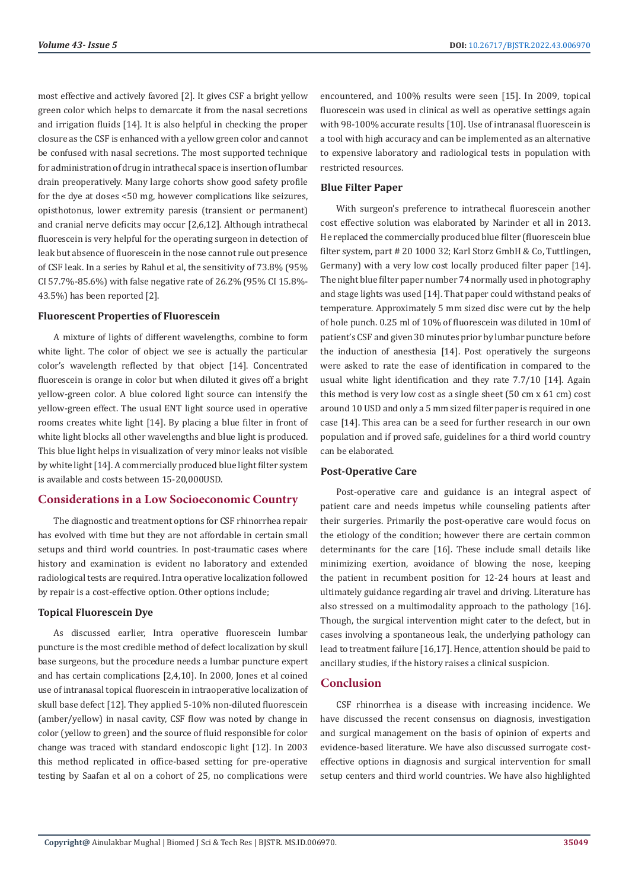most effective and actively favored [2]. It gives CSF a bright yellow green color which helps to demarcate it from the nasal secretions and irrigation fluids [14]. It is also helpful in checking the proper closure as the CSF is enhanced with a yellow green color and cannot be confused with nasal secretions. The most supported technique for administration of drug in intrathecal space is insertion of lumbar drain preoperatively. Many large cohorts show good safety profile for the dye at doses <50 mg, however complications like seizures, opisthotonus, lower extremity paresis (transient or permanent) and cranial nerve deficits may occur [2,6,12]. Although intrathecal fluorescein is very helpful for the operating surgeon in detection of leak but absence of fluorescein in the nose cannot rule out presence of CSF leak. In a series by Rahul et al, the sensitivity of 73.8% (95% CI 57.7%-85.6%) with false negative rate of 26.2% (95% CI 15.8%- 43.5%) has been reported [2].

#### **Fluorescent Properties of Fluorescein**

A mixture of lights of different wavelengths, combine to form white light. The color of object we see is actually the particular color's wavelength reflected by that object [14]. Concentrated fluorescein is orange in color but when diluted it gives off a bright yellow-green color. A blue colored light source can intensify the yellow-green effect. The usual ENT light source used in operative rooms creates white light [14]. By placing a blue filter in front of white light blocks all other wavelengths and blue light is produced. This blue light helps in visualization of very minor leaks not visible by white light [14]. A commercially produced blue light filter system is available and costs between 15-20,000USD.

### **Considerations in a Low Socioeconomic Country**

The diagnostic and treatment options for CSF rhinorrhea repair has evolved with time but they are not affordable in certain small setups and third world countries. In post-traumatic cases where history and examination is evident no laboratory and extended radiological tests are required. Intra operative localization followed by repair is a cost-effective option. Other options include;

### **Topical Fluorescein Dye**

As discussed earlier, Intra operative fluorescein lumbar puncture is the most credible method of defect localization by skull base surgeons, but the procedure needs a lumbar puncture expert and has certain complications [2,4,10]. In 2000, Jones et al coined use of intranasal topical fluorescein in intraoperative localization of skull base defect [12]. They applied 5-10% non-diluted fluorescein (amber/yellow) in nasal cavity, CSF flow was noted by change in color (yellow to green) and the source of fluid responsible for color change was traced with standard endoscopic light [12]. In 2003 this method replicated in office-based setting for pre-operative testing by Saafan et al on a cohort of 25, no complications were

encountered, and 100% results were seen [15]. In 2009, topical fluorescein was used in clinical as well as operative settings again with 98-100% accurate results [10]. Use of intranasal fluorescein is a tool with high accuracy and can be implemented as an alternative to expensive laboratory and radiological tests in population with restricted resources.

## **Blue Filter Paper**

With surgeon's preference to intrathecal fluorescein another cost effective solution was elaborated by Narinder et all in 2013. He replaced the commercially produced blue filter (fluorescein blue filter system, part # 20 1000 32; Karl Storz GmbH & Co, Tuttlingen, Germany) with a very low cost locally produced filter paper [14]. The night blue filter paper number 74 normally used in photography and stage lights was used [14]. That paper could withstand peaks of temperature. Approximately 5 mm sized disc were cut by the help of hole punch. 0.25 ml of 10% of fluorescein was diluted in 10ml of patient's CSF and given 30 minutes prior by lumbar puncture before the induction of anesthesia [14]. Post operatively the surgeons were asked to rate the ease of identification in compared to the usual white light identification and they rate 7.7/10 [14]. Again this method is very low cost as a single sheet (50 cm x 61 cm) cost around 10 USD and only a 5 mm sized filter paper is required in one case [14]. This area can be a seed for further research in our own population and if proved safe, guidelines for a third world country can be elaborated.

### **Post-Operative Care**

Post-operative care and guidance is an integral aspect of patient care and needs impetus while counseling patients after their surgeries. Primarily the post-operative care would focus on the etiology of the condition; however there are certain common determinants for the care [16]. These include small details like minimizing exertion, avoidance of blowing the nose, keeping the patient in recumbent position for 12-24 hours at least and ultimately guidance regarding air travel and driving. Literature has also stressed on a multimodality approach to the pathology [16]. Though, the surgical intervention might cater to the defect, but in cases involving a spontaneous leak, the underlying pathology can lead to treatment failure [16,17]. Hence, attention should be paid to ancillary studies, if the history raises a clinical suspicion.

# **Conclusion**

CSF rhinorrhea is a disease with increasing incidence. We have discussed the recent consensus on diagnosis, investigation and surgical management on the basis of opinion of experts and evidence-based literature. We have also discussed surrogate costeffective options in diagnosis and surgical intervention for small setup centers and third world countries. We have also highlighted